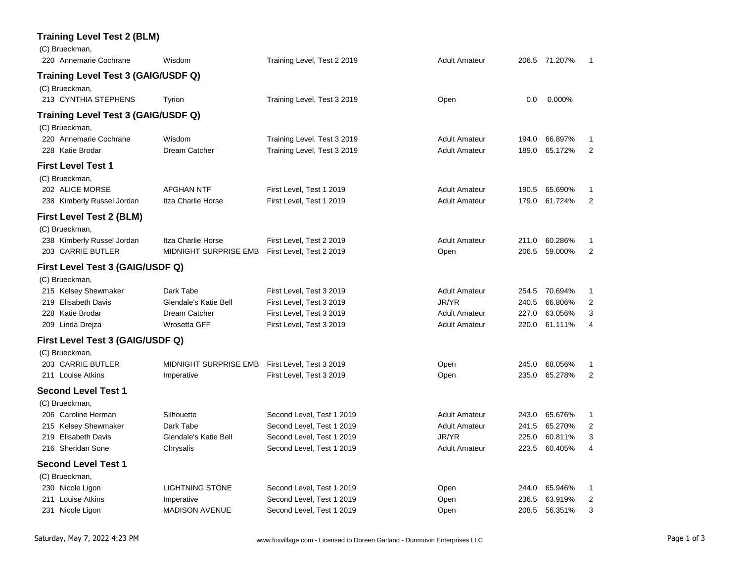| Wisdom                                                                                                                                                                                                                                                                                                                                                                                                                                                                                                                                                                                                                                                                                                                                                                    | Training Level, Test 2 2019                                                                                                                                                                                       | <b>Adult Amateur</b>                         |                |                    |                          |
|---------------------------------------------------------------------------------------------------------------------------------------------------------------------------------------------------------------------------------------------------------------------------------------------------------------------------------------------------------------------------------------------------------------------------------------------------------------------------------------------------------------------------------------------------------------------------------------------------------------------------------------------------------------------------------------------------------------------------------------------------------------------------|-------------------------------------------------------------------------------------------------------------------------------------------------------------------------------------------------------------------|----------------------------------------------|----------------|--------------------|--------------------------|
|                                                                                                                                                                                                                                                                                                                                                                                                                                                                                                                                                                                                                                                                                                                                                                           |                                                                                                                                                                                                                   |                                              |                |                    |                          |
| Tyrion                                                                                                                                                                                                                                                                                                                                                                                                                                                                                                                                                                                                                                                                                                                                                                    | Training Level, Test 3 2019                                                                                                                                                                                       | Open                                         | 0.0            | 0.000%             |                          |
|                                                                                                                                                                                                                                                                                                                                                                                                                                                                                                                                                                                                                                                                                                                                                                           |                                                                                                                                                                                                                   |                                              |                |                    |                          |
| Wisdom<br>Dream Catcher                                                                                                                                                                                                                                                                                                                                                                                                                                                                                                                                                                                                                                                                                                                                                   | Training Level, Test 3 2019<br>Training Level, Test 3 2019                                                                                                                                                        | <b>Adult Amateur</b><br><b>Adult Amateur</b> | 194.0<br>189.0 | 66.897%<br>65.172% | 1<br>$\overline{2}$      |
|                                                                                                                                                                                                                                                                                                                                                                                                                                                                                                                                                                                                                                                                                                                                                                           |                                                                                                                                                                                                                   |                                              |                |                    |                          |
| <b>AFGHAN NTF</b><br>Itza Charlie Horse                                                                                                                                                                                                                                                                                                                                                                                                                                                                                                                                                                                                                                                                                                                                   | First Level, Test 1 2019<br>First Level, Test 1 2019                                                                                                                                                              | <b>Adult Amateur</b><br><b>Adult Amateur</b> | 190.5<br>179.0 | 65.690%<br>61.724% | 1<br>$\overline{2}$      |
|                                                                                                                                                                                                                                                                                                                                                                                                                                                                                                                                                                                                                                                                                                                                                                           |                                                                                                                                                                                                                   |                                              |                |                    |                          |
|                                                                                                                                                                                                                                                                                                                                                                                                                                                                                                                                                                                                                                                                                                                                                                           |                                                                                                                                                                                                                   |                                              |                |                    |                          |
| Itza Charlie Horse                                                                                                                                                                                                                                                                                                                                                                                                                                                                                                                                                                                                                                                                                                                                                        | First Level, Test 2 2019                                                                                                                                                                                          | Adult Amateur                                | 211.0          | 60.286%            | 1                        |
| MIDNIGHT SURPRISE EMB                                                                                                                                                                                                                                                                                                                                                                                                                                                                                                                                                                                                                                                                                                                                                     | First Level, Test 2 2019                                                                                                                                                                                          | Open                                         | 206.5          | 59.000%            | $\overline{2}$           |
|                                                                                                                                                                                                                                                                                                                                                                                                                                                                                                                                                                                                                                                                                                                                                                           |                                                                                                                                                                                                                   |                                              |                |                    |                          |
|                                                                                                                                                                                                                                                                                                                                                                                                                                                                                                                                                                                                                                                                                                                                                                           |                                                                                                                                                                                                                   |                                              |                |                    |                          |
| Dark Tabe                                                                                                                                                                                                                                                                                                                                                                                                                                                                                                                                                                                                                                                                                                                                                                 | First Level, Test 3 2019                                                                                                                                                                                          | <b>Adult Amateur</b>                         | 254.5          | 70.694%            | 1                        |
| Glendale's Katie Bell                                                                                                                                                                                                                                                                                                                                                                                                                                                                                                                                                                                                                                                                                                                                                     | First Level, Test 3 2019                                                                                                                                                                                          | JR/YR                                        | 240.5          | 66.806%            | 2                        |
| Dream Catcher                                                                                                                                                                                                                                                                                                                                                                                                                                                                                                                                                                                                                                                                                                                                                             | First Level, Test 3 2019                                                                                                                                                                                          | <b>Adult Amateur</b>                         | 227.0          | 63.056%            | 3                        |
| Wrosetta GFF                                                                                                                                                                                                                                                                                                                                                                                                                                                                                                                                                                                                                                                                                                                                                              | First Level, Test 3 2019                                                                                                                                                                                          | <b>Adult Amateur</b>                         | 220.0          | 61.111%            | 4                        |
|                                                                                                                                                                                                                                                                                                                                                                                                                                                                                                                                                                                                                                                                                                                                                                           |                                                                                                                                                                                                                   |                                              |                |                    |                          |
|                                                                                                                                                                                                                                                                                                                                                                                                                                                                                                                                                                                                                                                                                                                                                                           |                                                                                                                                                                                                                   |                                              |                |                    |                          |
| MIDNIGHT SURPRISE EMB                                                                                                                                                                                                                                                                                                                                                                                                                                                                                                                                                                                                                                                                                                                                                     | First Level, Test 3 2019                                                                                                                                                                                          | Open                                         | 245.0          | 68.056%            | 1                        |
| Imperative                                                                                                                                                                                                                                                                                                                                                                                                                                                                                                                                                                                                                                                                                                                                                                | First Level, Test 3 2019                                                                                                                                                                                          | Open                                         | 235.0          | 65.278%            | 2                        |
|                                                                                                                                                                                                                                                                                                                                                                                                                                                                                                                                                                                                                                                                                                                                                                           |                                                                                                                                                                                                                   |                                              |                |                    |                          |
|                                                                                                                                                                                                                                                                                                                                                                                                                                                                                                                                                                                                                                                                                                                                                                           |                                                                                                                                                                                                                   |                                              |                |                    |                          |
| Silhouette                                                                                                                                                                                                                                                                                                                                                                                                                                                                                                                                                                                                                                                                                                                                                                | Second Level, Test 1 2019                                                                                                                                                                                         | <b>Adult Amateur</b>                         | 243.0          | 65.676%            | 1                        |
| Dark Tabe                                                                                                                                                                                                                                                                                                                                                                                                                                                                                                                                                                                                                                                                                                                                                                 | Second Level, Test 1 2019                                                                                                                                                                                         | <b>Adult Amateur</b>                         | 241.5          | 65.270%            | 2                        |
| Glendale's Katie Bell                                                                                                                                                                                                                                                                                                                                                                                                                                                                                                                                                                                                                                                                                                                                                     | Second Level, Test 1 2019                                                                                                                                                                                         | JR/YR                                        | 225.0          | 60.811%            | 3                        |
| Chrysalis                                                                                                                                                                                                                                                                                                                                                                                                                                                                                                                                                                                                                                                                                                                                                                 | Second Level, Test 1 2019                                                                                                                                                                                         | <b>Adult Amateur</b>                         | 223.5          | 60.405%            | 4                        |
|                                                                                                                                                                                                                                                                                                                                                                                                                                                                                                                                                                                                                                                                                                                                                                           |                                                                                                                                                                                                                   |                                              |                |                    |                          |
|                                                                                                                                                                                                                                                                                                                                                                                                                                                                                                                                                                                                                                                                                                                                                                           |                                                                                                                                                                                                                   |                                              |                |                    |                          |
| <b>LIGHTNING STONE</b>                                                                                                                                                                                                                                                                                                                                                                                                                                                                                                                                                                                                                                                                                                                                                    | Second Level, Test 1 2019                                                                                                                                                                                         | Open                                         | 244.0          | 65.946%            | 1                        |
| Imperative                                                                                                                                                                                                                                                                                                                                                                                                                                                                                                                                                                                                                                                                                                                                                                | Second Level, Test 1 2019                                                                                                                                                                                         | Open                                         | 236.5          | 63.919%            | 2                        |
|                                                                                                                                                                                                                                                                                                                                                                                                                                                                                                                                                                                                                                                                                                                                                                           |                                                                                                                                                                                                                   | Open                                         |                |                    | 3                        |
| (C) Brueckman,<br>220 Annemarie Cochrane<br>(C) Brueckman,<br>213 CYNTHIA STEPHENS<br>(C) Brueckman,<br>220 Annemarie Cochrane<br>228 Katie Brodar<br><b>First Level Test 1</b><br>(C) Brueckman,<br>202 ALICE MORSE<br>238 Kimberly Russel Jordan<br>First Level Test 2 (BLM)<br>(C) Brueckman,<br>238 Kimberly Russel Jordan<br>203 CARRIE BUTLER<br>(C) Brueckman,<br>215 Kelsey Shewmaker<br>219 Elisabeth Davis<br>228 Katie Brodar<br>209 Linda Drejza<br>(C) Brueckman,<br>203 CARRIE BUTLER<br>211 Louise Atkins<br>Second Level Test 1<br>(C) Brueckman,<br>206 Caroline Herman<br>215 Kelsey Shewmaker<br>219 Elisabeth Davis<br>216 Sheridan Sone<br><b>Second Level Test 1</b><br>(C) Brueckman,<br>230 Nicole Ligon<br>211 Louise Atkins<br>231 Nicole Ligon | <b>Training Level Test 2 (BLM)</b><br>Training Level Test 3 (GAIG/USDF Q)<br>Training Level Test 3 (GAIG/USDF Q)<br>First Level Test 3 (GAIG/USDF Q)<br>First Level Test 3 (GAIG/USDF Q)<br><b>MADISON AVENUE</b> | Second Level, Test 1 2019                    |                | 208.5              | 206.5 71.207%<br>56.351% |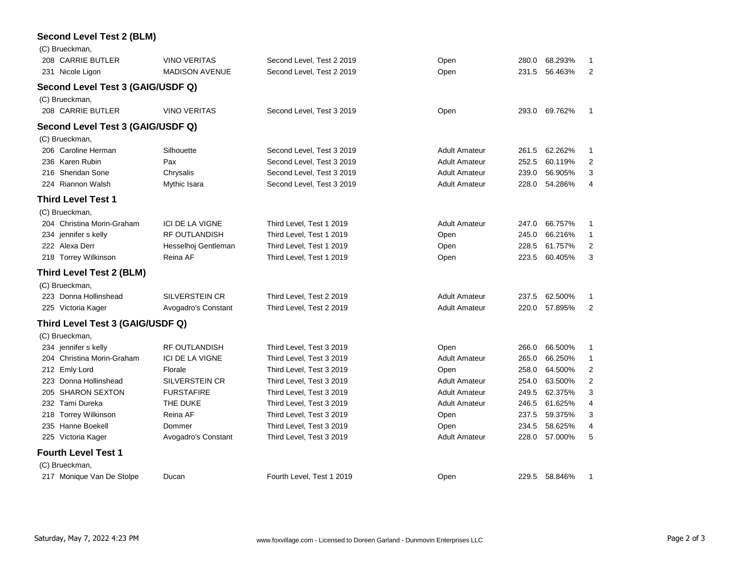#### **Second Level Test 2 (BLM)**

| (C) Brueckman,                    |                        |                           |                      |       |         |                |
|-----------------------------------|------------------------|---------------------------|----------------------|-------|---------|----------------|
| 208 CARRIE BUTLER                 | <b>VINO VERITAS</b>    | Second Level, Test 2 2019 | Open                 | 280.0 | 68.293% | 1              |
| 231 Nicole Ligon                  | <b>MADISON AVENUE</b>  | Second Level, Test 2 2019 | Open                 | 231.5 | 56.463% | $\overline{2}$ |
| Second Level Test 3 (GAIG/USDF Q) |                        |                           |                      |       |         |                |
| (C) Brueckman,                    |                        |                           |                      |       |         |                |
| 208 CARRIE BUTLER                 | <b>VINO VERITAS</b>    | Second Level, Test 3 2019 | Open                 | 293.0 | 69.762% | $\mathbf{1}$   |
| Second Level Test 3 (GAIG/USDF Q) |                        |                           |                      |       |         |                |
| (C) Brueckman,                    |                        |                           |                      |       |         |                |
| 206 Caroline Herman               | Silhouette             | Second Level, Test 3 2019 | <b>Adult Amateur</b> | 261.5 | 62.262% | 1              |
| 236 Karen Rubin                   | Pax                    | Second Level, Test 3 2019 | <b>Adult Amateur</b> | 252.5 | 60.119% | $\overline{2}$ |
| 216 Sheridan Sone                 | Chrysalis              | Second Level, Test 3 2019 | <b>Adult Amateur</b> | 239.0 | 56.905% | 3              |
| 224 Riannon Walsh                 | Mythic Isara           | Second Level, Test 3 2019 | <b>Adult Amateur</b> | 228.0 | 54.286% | 4              |
| <b>Third Level Test 1</b>         |                        |                           |                      |       |         |                |
| (C) Brueckman,                    |                        |                           |                      |       |         |                |
| 204 Christina Morin-Graham        | <b>ICI DE LA VIGNE</b> | Third Level, Test 1 2019  | <b>Adult Amateur</b> | 247.0 | 66.757% | 1              |
| 234 jennifer s kelly              | <b>RF OUTLANDISH</b>   | Third Level, Test 1 2019  | Open                 | 245.0 | 66.216% | $\mathbf{1}$   |
| 222 Alexa Derr                    | Hesselhoj Gentleman    | Third Level, Test 1 2019  | Open                 | 228.5 | 61.757% | $\overline{2}$ |
| 218 Torrey Wilkinson              | Reina AF               | Third Level, Test 1 2019  | Open                 | 223.5 | 60.405% | 3              |
| <b>Third Level Test 2 (BLM)</b>   |                        |                           |                      |       |         |                |
| (C) Brueckman,                    |                        |                           |                      |       |         |                |
| 223 Donna Hollinshead             | <b>SILVERSTEIN CR</b>  | Third Level, Test 2 2019  | <b>Adult Amateur</b> | 237.5 | 62.500% | 1              |
| 225 Victoria Kager                | Avogadro's Constant    | Third Level, Test 2 2019  | <b>Adult Amateur</b> | 220.0 | 57.895% | $\overline{2}$ |
| Third Level Test 3 (GAIG/USDF Q)  |                        |                           |                      |       |         |                |
| (C) Brueckman,                    |                        |                           |                      |       |         |                |
| 234 jennifer s kelly              | <b>RF OUTLANDISH</b>   | Third Level, Test 3 2019  | Open                 | 266.0 | 66.500% | 1              |
| 204 Christina Morin-Graham        | <b>ICI DE LA VIGNE</b> | Third Level, Test 3 2019  | <b>Adult Amateur</b> | 265.0 | 66.250% | 1              |
| 212 Emly Lord                     | Florale                | Third Level, Test 3 2019  | Open                 | 258.0 | 64.500% | 2              |
| 223 Donna Hollinshead             | SILVERSTEIN CR         | Third Level, Test 3 2019  | <b>Adult Amateur</b> | 254.0 | 63.500% | $\mathbf 2$    |
| 205 SHARON SEXTON                 | <b>FURSTAFIRE</b>      | Third Level, Test 3 2019  | <b>Adult Amateur</b> | 249.5 | 62.375% | 3              |
| 232 Tami Dureka                   | THE DUKE               | Third Level, Test 3 2019  | <b>Adult Amateur</b> | 246.5 | 61.625% | $\overline{4}$ |
| 218 Torrey Wilkinson              | Reina AF               | Third Level, Test 3 2019  | Open                 | 237.5 | 59.375% | 3              |
| 235 Hanne Boekell                 | Dommer                 | Third Level, Test 3 2019  | Open                 | 234.5 | 58.625% | 4              |
| 225 Victoria Kager                | Avogadro's Constant    | Third Level, Test 3 2019  | <b>Adult Amateur</b> | 228.0 | 57.000% | 5              |
| <b>Fourth Level Test 1</b>        |                        |                           |                      |       |         |                |
| (C) Brueckman,                    |                        |                           |                      |       |         |                |
| 217 Monique Van De Stolpe         | Ducan                  | Fourth Level, Test 1 2019 | Open                 | 229.5 | 58.846% | 1              |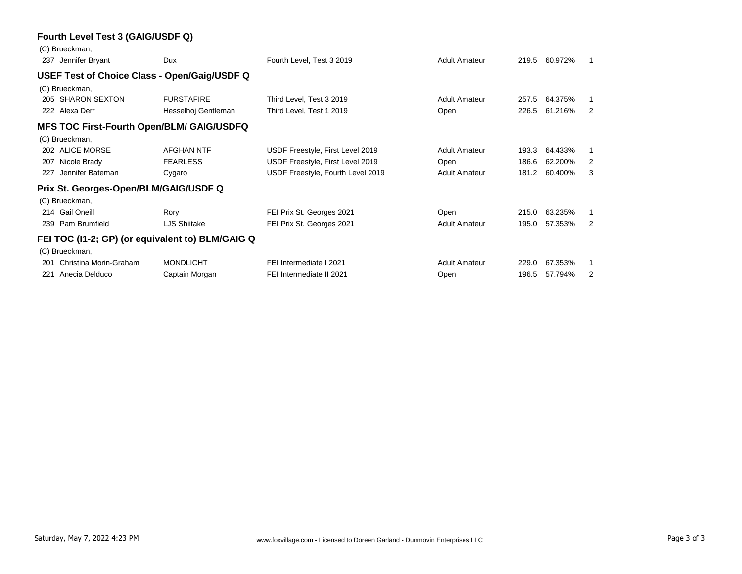#### **Fourth Level Test 3 (GAIG/USDF Q)**

|     | (C) Brueckman,                                   |                     |                                   |                      |       |         |    |
|-----|--------------------------------------------------|---------------------|-----------------------------------|----------------------|-------|---------|----|
|     | 237 Jennifer Bryant                              | Dux                 | Fourth Level, Test 3 2019         | <b>Adult Amateur</b> | 219.5 | 60.972% | -1 |
|     | USEF Test of Choice Class - Open/Gaig/USDF Q     |                     |                                   |                      |       |         |    |
|     | (C) Brueckman,                                   |                     |                                   |                      |       |         |    |
|     | 205 SHARON SEXTON                                | <b>FURSTAFIRE</b>   | Third Level, Test 3 2019          | <b>Adult Amateur</b> | 257.5 | 64.375% |    |
|     | 222 Alexa Derr                                   | Hesselhoj Gentleman | Third Level, Test 1 2019          | Open                 | 226.5 | 61.216% | 2  |
|     | <b>MFS TOC First-Fourth Open/BLM/ GAIG/USDFQ</b> |                     |                                   |                      |       |         |    |
|     | (C) Brueckman,                                   |                     |                                   |                      |       |         |    |
|     | 202 ALICE MORSE                                  | <b>AFGHAN NTF</b>   | USDF Freestyle, First Level 2019  | <b>Adult Amateur</b> | 193.3 | 64.433% |    |
| 207 | Nicole Brady                                     | <b>FEARLESS</b>     | USDF Freestyle, First Level 2019  | Open                 | 186.6 | 62.200% | 2  |
| 227 | Jennifer Bateman                                 | Cygaro              | USDF Freestyle, Fourth Level 2019 | <b>Adult Amateur</b> | 181.2 | 60.400% | 3  |
|     | Prix St. Georges-Open/BLM/GAIG/USDF Q            |                     |                                   |                      |       |         |    |
|     | (C) Brueckman,                                   |                     |                                   |                      |       |         |    |
|     | 214 Gail Oneill                                  | Rory                | FEI Prix St. Georges 2021         | Open                 | 215.0 | 63.235% |    |
|     | 239 Pam Brumfield                                | LJS Shiitake        | FEI Prix St. Georges 2021         | <b>Adult Amateur</b> | 195.0 | 57.353% | 2  |
|     | FEI TOC (I1-2; GP) (or equivalent to) BLM/GAIG Q |                     |                                   |                      |       |         |    |
|     | (C) Brueckman,                                   |                     |                                   |                      |       |         |    |
| 201 | Christina Morin-Graham                           | <b>MONDLICHT</b>    | FEI Intermediate I 2021           | <b>Adult Amateur</b> | 229.0 | 67.353% |    |
| 221 | Anecia Delduco                                   | Captain Morgan      | FEI Intermediate II 2021          | Open                 | 196.5 | 57.794% | 2  |
|     |                                                  |                     |                                   |                      |       |         |    |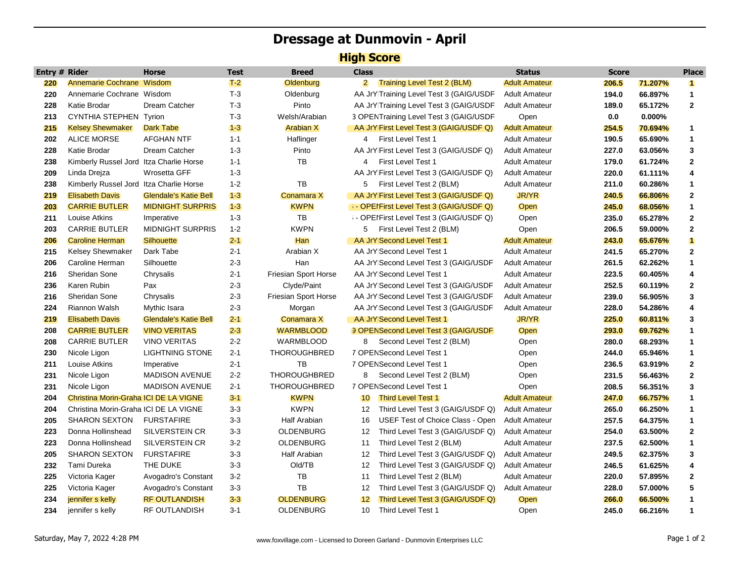# **Dressage at Dunmovin - April**

### **High Score**

| Entry # Rider |                                         | Horse                        | <b>Test</b> | Breed                | <b>Class</b>   |                                             | <b>Status</b>        | <b>Score</b> |           | <b>Place</b>            |
|---------------|-----------------------------------------|------------------------------|-------------|----------------------|----------------|---------------------------------------------|----------------------|--------------|-----------|-------------------------|
| 220           | Annemarie Cochrane Wisdom               |                              | $T-2$       | Oldenburg            | $\overline{2}$ | <b>Training Level Test 2 (BLM)</b>          | <b>Adult Amateur</b> | 206.5        | 71.207%   | $\blacksquare$          |
| 220           | Annemarie Cochrane Wisdom               |                              | $T-3$       | Oldenburg            |                | AA JrY Training Level Test 3 (GAIG/USDF     | <b>Adult Amateur</b> | 194.0        | 66.897%   | $\mathbf{1}$            |
| 228           | Katie Brodar                            | Dream Catcher                | $T-3$       | Pinto                |                | AA JrY Training Level Test 3 (GAIG/USDF     | <b>Adult Amateur</b> | 189.0        | 65.172%   | $\mathbf{2}$            |
| 213           | CYNTHIA STEPHEN Tyrion                  |                              | $T-3$       | Welsh/Arabian        |                | 3 OPENTraining Level Test 3 (GAIG/USDF      | Open                 | 0.0          | $0.000\%$ |                         |
| 215           | <b>Kelsey Shewmaker</b>                 | Dark Tabe                    | $1 - 3$     | <b>Arabian X</b>     |                | AA JrY First Level Test 3 (GAIG/USDF Q)     | <b>Adult Amateur</b> | 254.5        | 70.694%   | 1                       |
| 202           | <b>ALICE MORSE</b>                      | <b>AFGHAN NTF</b>            | $1 - 1$     | Haflinger            | 4              | First Level Test 1                          | <b>Adult Amateur</b> | 190.5        | 65.690%   | $\mathbf{1}$            |
| 228           | Katie Brodar                            | Dream Catcher                | $1 - 3$     | Pinto                |                | AA JrY First Level Test 3 (GAIG/USDF Q)     | <b>Adult Amateur</b> | 227.0        | 63.056%   | $\mathbf 3$             |
| 238           | Kimberly Russel Jord Itza Charlie Horse |                              | $1 - 1$     | TB                   | 4              | <b>First Level Test 1</b>                   | <b>Adult Amateur</b> | 179.0        | 61.724%   | $\mathbf{2}$            |
| 209           | Linda Drejza                            | Wrosetta GFF                 | $1 - 3$     |                      |                | AA JrY First Level Test 3 (GAIG/USDF Q)     | <b>Adult Amateur</b> | 220.0        | 61.111%   | $\overline{\mathbf{4}}$ |
| 238           | Kimberly Russel Jord Itza Charlie Horse |                              | $1 - 2$     | TB                   | 5              | First Level Test 2 (BLM)                    | <b>Adult Amateur</b> | 211.0        | 60.286%   | 1                       |
| 219           | <b>Elisabeth Davis</b>                  | <b>Glendale's Katie Bell</b> | $1 - 3$     | Conamara X           |                | AA JrY First Level Test 3 (GAIG/USDF Q)     | <b>JR/YR</b>         | 240.5        | 66.806%   | $\mathbf{2}$            |
| 203           | <b>CARRIE BUTLER</b>                    | <b>MIDNIGHT SURPRIS</b>      | $1 - 3$     | <b>KWPN</b>          |                | <b>COPENTIES Level Test 3 (GAIG/USDF Q)</b> | <b>Open</b>          | 245.0        | 68.056%   | 1                       |
| 211           | Louise Atkins                           | Imperative                   | $1 - 3$     | TB                   |                | - OPEIFirst Level Test 3 (GAIG/USDF Q)      | Open                 | 235.0        | 65.278%   | $\mathbf{2}$            |
| 203           | <b>CARRIE BUTLER</b>                    | <b>MIDNIGHT SURPRIS</b>      | $1 - 2$     | <b>KWPN</b>          |                | 5 First Level Test 2 (BLM)                  | Open                 | 206.5        | 59.000%   | $\mathbf{2}$            |
| 206           | <b>Caroline Herman</b>                  | Silhouette                   | $2 - 1$     | Han                  |                | AA JrY Second Level Test 1                  | <b>Adult Amateur</b> | 243.0        | 65.676%   | $\blacksquare$          |
| 215           | <b>Kelsey Shewmaker</b>                 | Dark Tabe                    | $2 - 1$     | Arabian X            |                | AA JrY Second Level Test 1                  | <b>Adult Amateur</b> | 241.5        | 65.270%   | $\mathbf{2}$            |
| 206           | Caroline Herman                         | Silhouette                   | $2 - 3$     | Han                  |                | AA JrY Second Level Test 3 (GAIG/USDF       | <b>Adult Amateur</b> | 261.5        | 62.262%   | $\mathbf{1}$            |
| 216           | Sheridan Sone                           | Chrysalis                    | $2 - 1$     | Friesian Sport Horse |                | AA JrY Second Level Test 1                  | <b>Adult Amateur</b> | 223.5        | 60.405%   | 4                       |
| 236           | Karen Rubin                             | Pax                          | $2 - 3$     | Clyde/Paint          |                | AA JrY Second Level Test 3 (GAIG/USDF       | <b>Adult Amateur</b> | 252.5        | 60.119%   | $\mathbf{2}$            |
| 216           | Sheridan Sone                           | Chrysalis                    | $2 - 3$     | Friesian Sport Horse |                | AA JrY Second Level Test 3 (GAIG/USDF       | <b>Adult Amateur</b> | 239.0        | 56.905%   | 3                       |
| 224           | Riannon Walsh                           | Mythic Isara                 | $2 - 3$     | Morgan               |                | AA JrY Second Level Test 3 (GAIG/USDF       | <b>Adult Amateur</b> | 228.0        | 54.286%   | 4                       |
| 219           | <b>Elisabeth Davis</b>                  | <b>Glendale's Katie Bell</b> | $2 - 1$     | Conamara X           |                | AA JrY Second Level Test 1                  | <b>JR/YR</b>         | 225.0        | 60.811%   | 3                       |
| 208           | <b>CARRIE BUTLER</b>                    | <b>VINO VERITAS</b>          | $2 - 3$     | <b>WARMBLOOD</b>     |                | 3 OPENSecond Level Test 3 (GAIG/USDF        | Open                 | 293.0        | 69.762%   | $\mathbf{1}$            |
| 208           | <b>CARRIE BUTLER</b>                    | <b>VINO VERITAS</b>          | $2 - 2$     | WARMBLOOD            | 8              | Second Level Test 2 (BLM)                   | Open                 | 280.0        | 68.293%   | $\mathbf{1}$            |
| 230           | Nicole Ligon                            | <b>LIGHTNING STONE</b>       | $2 - 1$     | <b>THOROUGHBRED</b>  |                | 7 OPENSecond Level Test 1                   | Open                 | 244.0        | 65.946%   | 1                       |
| 211           | Louise Atkins                           | Imperative                   | $2 - 1$     | TB                   |                | 7 OPENSecond Level Test 1                   | Open                 | 236.5        | 63.919%   | $\mathbf{2}$            |
| 231           | Nicole Ligon                            | MADISON AVENUE               | $2 - 2$     | <b>THOROUGHBRED</b>  | 8              | Second Level Test 2 (BLM)                   | Open                 | 231.5        | 56.463%   | $\mathbf{2}$            |
| 231           | Nicole Ligon                            | <b>MADISON AVENUE</b>        | $2 - 1$     | <b>THOROUGHBRED</b>  |                | 7 OPENSecond Level Test 1                   | Open                 | 208.5        | 56.351%   | 3                       |
| 204           | Christina Morin-Graha ICI DE LA VIGNE   |                              | $3 - 1$     | <b>KWPN</b>          | 10             | <b>Third Level Test 1</b>                   | <b>Adult Amateur</b> | 247.0        | 66.757%   | $\mathbf{1}$            |
| 204           | Christina Morin-Graha ICI DE LA VIGNE   |                              | $3-3$       | <b>KWPN</b>          | 12             | Third Level Test 3 (GAIG/USDF Q)            | <b>Adult Amateur</b> | 265.0        | 66.250%   | $\mathbf{1}$            |
| 205           | <b>SHARON SEXTON</b>                    | <b>FURSTAFIRE</b>            | $3 - 3$     | Half Arabian         | 16             | USEF Test of Choice Class - Open            | <b>Adult Amateur</b> | 257.5        | 64.375%   | $\mathbf{1}$            |
| 223           | Donna Hollinshead                       | <b>SILVERSTEIN CR</b>        | $3-3$       | OLDENBURG            | 12             | Third Level Test 3 (GAIG/USDF Q)            | <b>Adult Amateur</b> | 254.0        | 63.500%   | $\mathbf{2}$            |
| 223           | Donna Hollinshead                       | <b>SILVERSTEIN CR</b>        | $3-2$       | OLDENBURG            | 11             | Third Level Test 2 (BLM)                    | <b>Adult Amateur</b> | 237.5        | 62.500%   | 1                       |
| 205           | <b>SHARON SEXTON</b>                    | <b>FURSTAFIRE</b>            | $3-3$       | Half Arabian         | 12             | Third Level Test 3 (GAIG/USDF Q)            | <b>Adult Amateur</b> | 249.5        | 62.375%   | 3                       |
| 232           | Tami Dureka                             | THE DUKE                     | $3 - 3$     | Old/TB               | 12             | Third Level Test 3 (GAIG/USDF Q)            | <b>Adult Amateur</b> | 246.5        | 61.625%   | 4                       |
| 225           | Victoria Kager                          | Avogadro's Constant          | $3 - 2$     | TB                   | 11             | Third Level Test 2 (BLM)                    | <b>Adult Amateur</b> | 220.0        | 57.895%   | $\mathbf{2}$            |
| 225           | Victoria Kager                          | Avogadro's Constant          | $3 - 3$     | <b>TB</b>            | 12             | Third Level Test 3 (GAIG/USDF Q)            | <b>Adult Amateur</b> | 228.0        | 57.000%   | 5                       |
| 234           | jennifer s kelly                        | <b>RF OUTLANDISH</b>         | $3 - 3$     | <b>OLDENBURG</b>     | 12             | Third Level Test 3 (GAIG/USDF Q)            | Open                 | 266.0        | 66.500%   | 1                       |
| 234           | jennifer s kelly                        | RF OUTLANDISH                | $3 - 1$     | OLDENBURG            | 10             | Third Level Test 1                          | Open                 | 245.0        | 66.216%   | $\mathbf 1$             |